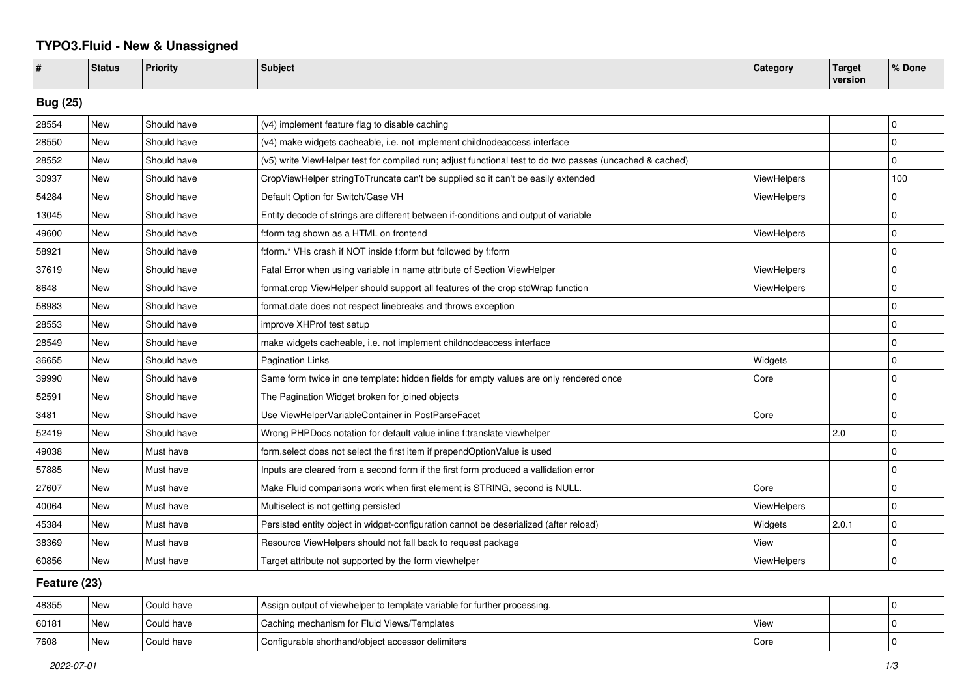## **TYPO3.Fluid - New & Unassigned**

| #               | <b>Status</b> | <b>Priority</b> | <b>Subject</b>                                                                                           | Category           | <b>Target</b><br>version | % Done         |  |  |
|-----------------|---------------|-----------------|----------------------------------------------------------------------------------------------------------|--------------------|--------------------------|----------------|--|--|
| <b>Bug (25)</b> |               |                 |                                                                                                          |                    |                          |                |  |  |
| 28554           | <b>New</b>    | Should have     | (v4) implement feature flag to disable caching                                                           |                    |                          | $\mathbf 0$    |  |  |
| 28550           | New           | Should have     | (v4) make widgets cacheable, i.e. not implement childnodeaccess interface                                |                    |                          | 0              |  |  |
| 28552           | New           | Should have     | (v5) write ViewHelper test for compiled run; adjust functional test to do two passes (uncached & cached) |                    |                          | $\Omega$       |  |  |
| 30937           | New           | Should have     | CropViewHelper stringToTruncate can't be supplied so it can't be easily extended                         | <b>ViewHelpers</b> |                          | 100            |  |  |
| 54284           | New           | Should have     | Default Option for Switch/Case VH                                                                        | ViewHelpers        |                          | $\mathbf 0$    |  |  |
| 13045           | New           | Should have     | Entity decode of strings are different between if-conditions and output of variable                      |                    |                          | $\Omega$       |  |  |
| 49600           | New           | Should have     | f:form tag shown as a HTML on frontend                                                                   | ViewHelpers        |                          | $\Omega$       |  |  |
| 58921           | <b>New</b>    | Should have     | f:form.* VHs crash if NOT inside f:form but followed by f:form                                           |                    |                          | $\Omega$       |  |  |
| 37619           | New           | Should have     | Fatal Error when using variable in name attribute of Section ViewHelper                                  | ViewHelpers        |                          | $\Omega$       |  |  |
| 8648            | New           | Should have     | format.crop ViewHelper should support all features of the crop stdWrap function                          | <b>ViewHelpers</b> |                          | $\overline{0}$ |  |  |
| 58983           | New           | Should have     | format.date does not respect linebreaks and throws exception                                             |                    |                          | $\overline{0}$ |  |  |
| 28553           | New           | Should have     | improve XHProf test setup                                                                                |                    |                          | 0              |  |  |
| 28549           | New           | Should have     | make widgets cacheable, i.e. not implement childnodeaccess interface                                     |                    |                          | $\Omega$       |  |  |
| 36655           | New           | Should have     | <b>Pagination Links</b>                                                                                  | Widgets            |                          | $\Omega$       |  |  |
| 39990           | New           | Should have     | Same form twice in one template: hidden fields for empty values are only rendered once                   | Core               |                          | 0              |  |  |
| 52591           | New           | Should have     | The Pagination Widget broken for joined objects                                                          |                    |                          | $\Omega$       |  |  |
| 3481            | New           | Should have     | Use ViewHelperVariableContainer in PostParseFacet                                                        | Core               |                          | 0              |  |  |
| 52419           | New           | Should have     | Wrong PHPDocs notation for default value inline f:translate viewhelper                                   |                    | 2.0                      | 0              |  |  |
| 49038           | New           | Must have       | form select does not select the first item if prependOptionValue is used                                 |                    |                          | $\mathbf 0$    |  |  |
| 57885           | New           | Must have       | Inputs are cleared from a second form if the first form produced a vallidation error                     |                    |                          | $\mathbf 0$    |  |  |
| 27607           | New           | Must have       | Make Fluid comparisons work when first element is STRING, second is NULL.                                | Core               |                          | $\Omega$       |  |  |
| 40064           | New           | Must have       | Multiselect is not getting persisted                                                                     | ViewHelpers        |                          | $\mathbf 0$    |  |  |
| 45384           | <b>New</b>    | Must have       | Persisted entity object in widget-configuration cannot be deserialized (after reload)                    | Widgets            | 2.0.1                    | $\Omega$       |  |  |
| 38369           | New           | Must have       | Resource ViewHelpers should not fall back to request package                                             | View               |                          | $\Omega$       |  |  |
| 60856           | <b>New</b>    | Must have       | Target attribute not supported by the form viewhelper                                                    | ViewHelpers        |                          | 0              |  |  |
| Feature (23)    |               |                 |                                                                                                          |                    |                          |                |  |  |
| 48355           | New           | Could have      | Assign output of viewhelper to template variable for further processing.                                 |                    |                          | $\mathbf 0$    |  |  |
| 60181           | New           | Could have      | Caching mechanism for Fluid Views/Templates                                                              | View               |                          | $\Omega$       |  |  |
| 7608            | New           | Could have      | Configurable shorthand/object accessor delimiters                                                        | Core               |                          | $\Omega$       |  |  |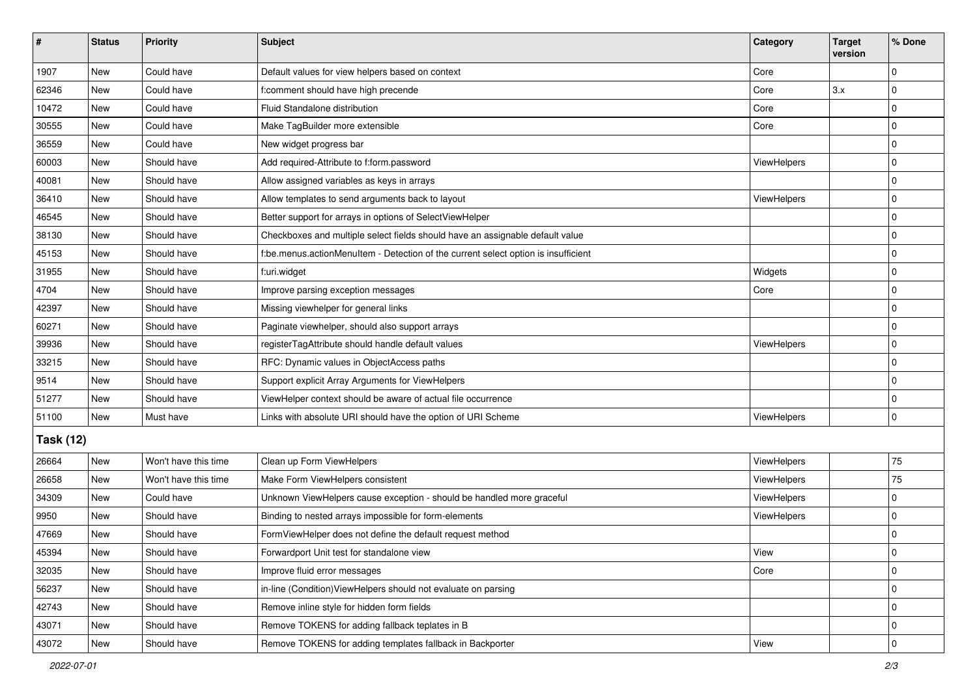| $\vert$ #        | <b>Status</b> | Priority             | Subject                                                                            | Category           | <b>Target</b><br>version | % Done      |  |  |
|------------------|---------------|----------------------|------------------------------------------------------------------------------------|--------------------|--------------------------|-------------|--|--|
| 1907             | New           | Could have           | Default values for view helpers based on context                                   | Core               |                          | 0           |  |  |
| 62346            | New           | Could have           | f:comment should have high precende                                                | Core               | 3.x                      | 0           |  |  |
| 10472            | New           | Could have           | Fluid Standalone distribution                                                      | Core               |                          | $\Omega$    |  |  |
| 30555            | <b>New</b>    | Could have           | Make TagBuilder more extensible                                                    | Core               |                          | $\mathbf 0$ |  |  |
| 36559            | <b>New</b>    | Could have           | New widget progress bar                                                            |                    |                          | 0           |  |  |
| 60003            | New           | Should have          | Add required-Attribute to f:form.password                                          | <b>ViewHelpers</b> |                          | $\mathbf 0$ |  |  |
| 40081            | <b>New</b>    | Should have          | Allow assigned variables as keys in arrays                                         |                    |                          | 0           |  |  |
| 36410            | New           | Should have          | Allow templates to send arguments back to layout                                   | ViewHelpers        |                          | $\mathbf 0$ |  |  |
| 46545            | New           | Should have          | Better support for arrays in options of SelectViewHelper                           |                    |                          | $\mathbf 0$ |  |  |
| 38130            | New           | Should have          | Checkboxes and multiple select fields should have an assignable default value      |                    |                          | 0           |  |  |
| 45153            | New           | Should have          | f:be.menus.actionMenuItem - Detection of the current select option is insufficient |                    |                          | $\mathbf 0$ |  |  |
| 31955            | <b>New</b>    | Should have          | f:uri.widget                                                                       | Widgets            |                          | $\mathbf 0$ |  |  |
| 4704             | New           | Should have          | Improve parsing exception messages                                                 | Core               |                          | $\mathbf 0$ |  |  |
| 42397            | <b>New</b>    | Should have          | Missing viewhelper for general links                                               |                    |                          | $\mathbf 0$ |  |  |
| 60271            | New           | Should have          | Paginate viewhelper, should also support arrays                                    |                    |                          | 0           |  |  |
| 39936            | New           | Should have          | registerTagAttribute should handle default values                                  | ViewHelpers        |                          | $\mathbf 0$ |  |  |
| 33215            | <b>New</b>    | Should have          | RFC: Dynamic values in ObjectAccess paths                                          |                    |                          | $\mathbf 0$ |  |  |
| 9514             | <b>New</b>    | Should have          | Support explicit Array Arguments for ViewHelpers                                   |                    |                          | $\mathbf 0$ |  |  |
| 51277            | New           | Should have          | ViewHelper context should be aware of actual file occurrence                       |                    |                          | $\mathbf 0$ |  |  |
| 51100            | <b>New</b>    | Must have            | Links with absolute URI should have the option of URI Scheme                       | ViewHelpers        |                          | $\mathbf 0$ |  |  |
| <b>Task (12)</b> |               |                      |                                                                                    |                    |                          |             |  |  |
| 26664            | New           | Won't have this time | Clean up Form ViewHelpers                                                          | ViewHelpers        |                          | 75          |  |  |
| 26658            | <b>New</b>    | Won't have this time | Make Form ViewHelpers consistent                                                   | ViewHelpers        |                          | 75          |  |  |
| 34309            | New           | Could have           | Unknown ViewHelpers cause exception - should be handled more graceful              | ViewHelpers        |                          | $\Omega$    |  |  |
| 9950             | <b>New</b>    | Should have          | Binding to nested arrays impossible for form-elements                              | ViewHelpers        |                          | $\mathbf 0$ |  |  |
| 47669            | New           | Should have          | FormViewHelper does not define the default request method                          |                    |                          | 0           |  |  |
| 45394            | New           | Should have          | Forwardport Unit test for standalone view                                          | View               |                          | 0           |  |  |
| 32035            | New           | Should have          | Improve fluid error messages                                                       | Core               |                          | $\mathbf 0$ |  |  |
| 56237            | New           | Should have          | in-line (Condition) View Helpers should not evaluate on parsing                    |                    |                          | $\mathbf 0$ |  |  |
| 42743            | New           | Should have          | Remove inline style for hidden form fields                                         |                    |                          | $\mathbf 0$ |  |  |
| 43071            | New           | Should have          | Remove TOKENS for adding fallback teplates in B                                    |                    |                          | 0           |  |  |
| 43072            | New           | Should have          | Remove TOKENS for adding templates fallback in Backporter                          | View               |                          | $\mathbf 0$ |  |  |